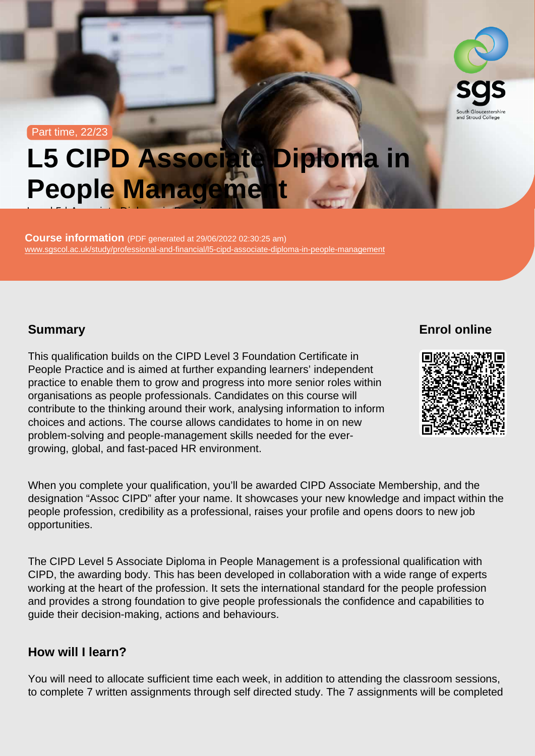#### Part time, 22/23

# L5 CIPD Associate Diploma in People Management

Course information (PDF generated at 29/06/2022 02:30:25 am) [www.sgscol.ac.uk/study/professional-and-financial/l5-cipd-associate-diploma-in-people-management](https://www.sgscol.ac.uk/study/professional-and-financial/l5-cipd-associate-diploma-in-people-management)

Level 5 | Associate Diploma in People Management

#### **Summary**

Enrol online

This qualification builds on the CIPD Level 3 Foundation Certificate in People Practice and is aimed at further expanding learners' independent practice to enable them to grow and progress into more senior roles within organisations as people professionals. Candidates on this course will contribute to the thinking around their work, analysing information to inform choices and actions. The course allows candidates to home in on new problem-solving and people-management skills needed for the evergrowing, global, and fast-paced HR environment.

When you complete your qualification, you'll be awarded CIPD Associate Membership, and the designation "Assoc CIPD" after your name. It showcases your new knowledge and impact within the people profession, credibility as a professional, raises your profile and opens doors to new job opportunities.

The CIPD Level 5 Associate Diploma in People Management is a professional qualification with CIPD, the awarding body. This has been developed in collaboration with a wide range of experts working at the heart of the profession. It sets the international standard for the people profession and provides a strong foundation to give people professionals the confidence and capabilities to guide their decision-making, actions and behaviours.

#### How will I learn?

You will need to allocate sufficient time each week, in addition to attending the classroom sessions, to complete 7 written assignments through self directed study. The 7 assignments will be completed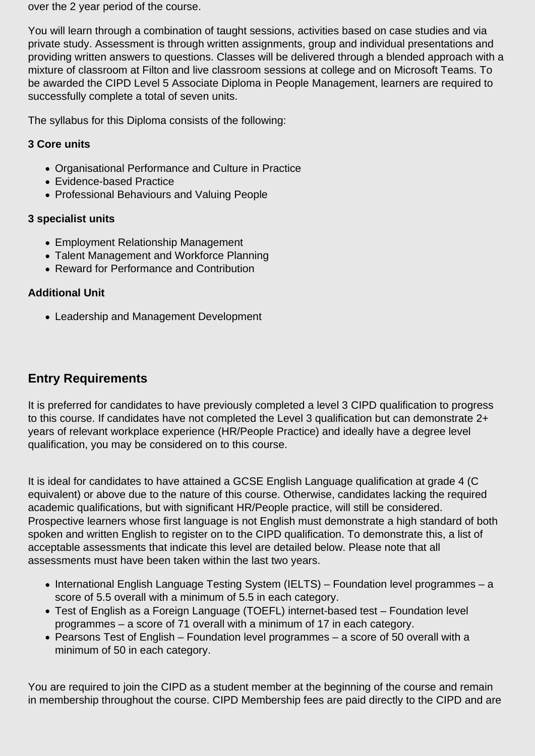over the 2 year period of the course.

You will learn through a combination of taught sessions, activities based on case studies and via private study. Assessment is through written assignments, group and individual presentations and providing written answers to questions. Classes will be delivered through a blended approach with a mixture of classroom at Filton and live classroom sessions at college and on Microsoft Teams. To be awarded the CIPD Level 5 Associate Diploma in People Management, learners are required to successfully complete a total of seven units.

The syllabus for this Diploma consists of the following:

#### **3 Core units**

- Organisational Performance and Culture in Practice
- Evidence-based Practice
- Professional Behaviours and Valuing People

#### **3 specialist units**

- Employment Relationship Management
- Talent Management and Workforce Planning
- Reward for Performance and Contribution

#### **Additional Unit**

Leadership and Management Development

## **Entry Requirements**

It is preferred for candidates to have previously completed a level 3 CIPD qualification to progress to this course. If candidates have not completed the Level 3 qualification but can demonstrate 2+ years of relevant workplace experience (HR/People Practice) and ideally have a degree level qualification, you may be considered on to this course.

It is ideal for candidates to have attained a GCSE English Language qualification at grade 4 (C equivalent) or above due to the nature of this course. Otherwise, candidates lacking the required academic qualifications, but with significant HR/People practice, will still be considered. Prospective learners whose first language is not English must demonstrate a high standard of both spoken and written English to register on to the CIPD qualification. To demonstrate this, a list of acceptable assessments that indicate this level are detailed below. Please note that all assessments must have been taken within the last two years.

- International English Language Testing System (IELTS) Foundation level programmes a score of 5.5 overall with a minimum of 5.5 in each category.
- Test of English as a Foreign Language (TOEFL) internet-based test Foundation level programmes – a score of 71 overall with a minimum of 17 in each category.
- Pearsons Test of English Foundation level programmes a score of 50 overall with a minimum of 50 in each category.

You are required to join the CIPD as a student member at the beginning of the course and remain in membership throughout the course. CIPD Membership fees are paid directly to the CIPD and are